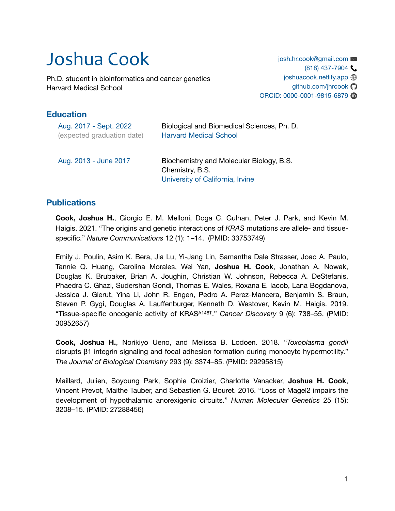# Joshua Cook

Ph.D. student in bioinformatics and cancer genetics Harvard Medical School

[josh.hr.cook@gmail.com](mailto:josh.hr.cook@gmail.com) (818) 437-7904 [joshuacook.netlify.app](https://joshuacook.netlify.app)  $\bigcirc$  $q$ ithub.com/jhrcook $\Omega$ ORCID: [0000-0001-9815-6879](https://orcid.org/%200000-0001-9815-6879)

## **Education**

| Aug. 2017 - Sept. 2022     | Biological and Biomedical Sciences, Ph. D.                                                      |
|----------------------------|-------------------------------------------------------------------------------------------------|
| (expected graduation date) | <b>Harvard Medical School</b>                                                                   |
| Aug. 2013 - June 2017      | Biochemistry and Molecular Biology, B.S.<br>Chemistry, B.S.<br>University of California, Irvine |

### **Publications**

**Cook, Joshua H.**, Giorgio E. M. Melloni, Doga C. Gulhan, Peter J. Park, and Kevin M. Haigis. 2021. "The origins and genetic interactions of *KRAS* mutations are allele- and tissuespecific." *Nature Communications* 12 (1): 1–14. (PMID: 33753749)

Emily J. Poulin, Asim K. Bera, Jia Lu, Yi-Jang Lin, Samantha Dale Strasser, Joao A. Paulo, Tannie Q. Huang, Carolina Morales, Wei Yan, **Joshua H. Cook**, Jonathan A. Nowak, Douglas K. Brubaker, Brian A. Joughin, Christian W. Johnson, Rebecca A. DeStefanis, Phaedra C. Ghazi, Sudershan Gondi, Thomas E. Wales, Roxana E. Iacob, Lana Bogdanova, Jessica J. Gierut, Yina Li, John R. Engen, Pedro A. Perez-Mancera, Benjamin S. Braun, Steven P. Gygi, Douglas A. Lauffenburger, Kenneth D. Westover, Kevin M. Haigis. 2019. "Tissue-specific oncogenic activity of KRASA146T." *Cancer Discovery* 9 (6): 738–55. (PMID: 30952657)

**Cook, Joshua H.**, Norikiyo Ueno, and Melissa B. Lodoen. 2018. "*Toxoplasma gondii* disrupts β1 integrin signaling and focal adhesion formation during monocyte hypermotility." *The Journal of Biological Chemistry* 293 (9): 3374–85. (PMID: 29295815)

Maillard, Julien, Soyoung Park, Sophie Croizier, Charlotte Vanacker, **Joshua H. Cook**, Vincent Prevot, Maithe Tauber, and Sebastien G. Bouret. 2016. "Loss of Magel2 impairs the development of hypothalamic anorexigenic circuits." *Human Molecular Genetics* 25 (15): 3208–15. (PMID: 27288456)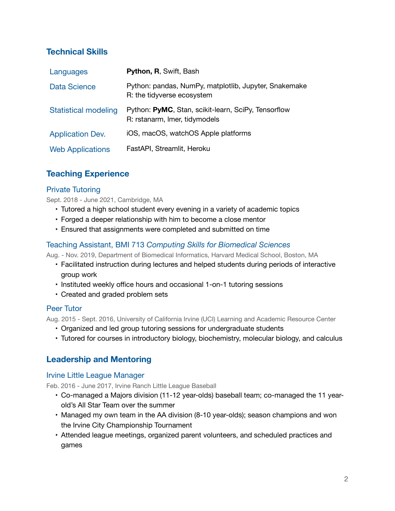## **Technical Skills**

| Languages                   | Python, R, Swift, Bash                                                               |
|-----------------------------|--------------------------------------------------------------------------------------|
| <b>Data Science</b>         | Python: pandas, NumPy, matplotlib, Jupyter, Snakemake<br>R: the tidyverse ecosystem  |
| <b>Statistical modeling</b> | Python: PyMC, Stan, scikit-learn, SciPy, Tensorflow<br>R: rstanarm, Imer, tidymodels |
| <b>Application Dev.</b>     | iOS, macOS, watchOS Apple platforms                                                  |
| <b>Web Applications</b>     | FastAPI, Streamlit, Heroku                                                           |

## **Teaching Experience**

#### Private Tutoring

Sept. 2018 - June 2021, Cambridge, MA

- Tutored a high school student every evening in a variety of academic topics
- Forged a deeper relationship with him to become a close mentor
- Ensured that assignments were completed and submitted on time

#### Teaching Assistant, BMI 713 *Computing Skills for Biomedical Sciences*

Aug. - Nov. 2019, Department of Biomedical Informatics, Harvard Medical School, Boston, MA

- Facilitated instruction during lectures and helped students during periods of interactive group work
- Instituted weekly office hours and occasional 1-on-1 tutoring sessions
- Created and graded problem sets

#### Peer Tutor

Aug. 2015 - Sept. 2016, University of California Irvine (UCI) Learning and Academic Resource Center

- Organized and led group tutoring sessions for undergraduate students
- Tutored for courses in introductory biology, biochemistry, molecular biology, and calculus

## **Leadership and Mentoring**

#### Irvine Little League Manager

Feb. 2016 - June 2017, Irvine Ranch Little League Baseball

- Co-managed a Majors division (11-12 year-olds) baseball team; co-managed the 11 yearold's All Star Team over the summer
- Managed my own team in the AA division (8-10 year-olds); season champions and won the Irvine City Championship Tournament
- Attended league meetings, organized parent volunteers, and scheduled practices and games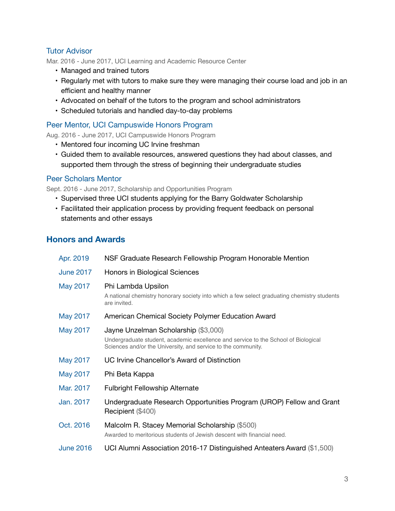#### Tutor Advisor

Mar. 2016 - June 2017, UCI Learning and Academic Resource Center

- Managed and trained tutors
- Regularly met with tutors to make sure they were managing their course load and job in an efficient and healthy manner
- Advocated on behalf of the tutors to the program and school administrators
- Scheduled tutorials and handled day-to-day problems

#### Peer Mentor, UCI Campuswide Honors Program

Aug. 2016 - June 2017, UCI Campuswide Honors Program

- Mentored four incoming UC Irvine freshman
- Guided them to available resources, answered questions they had about classes, and supported them through the stress of beginning their undergraduate studies

#### Peer Scholars Mentor

Sept. 2016 - June 2017, Scholarship and Opportunities Program

- Supervised three UCI students applying for the Barry Goldwater Scholarship
- Facilitated their application process by providing frequent feedback on personal statements and other essays

## **Honors and Awards**

| Apr. 2019        | NSF Graduate Research Fellowship Program Honorable Mention                                                                                                                                  |
|------------------|---------------------------------------------------------------------------------------------------------------------------------------------------------------------------------------------|
| <b>June 2017</b> | Honors in Biological Sciences                                                                                                                                                               |
| May 2017         | Phi Lambda Upsilon<br>A national chemistry honorary society into which a few select graduating chemistry students<br>are invited.                                                           |
| May 2017         | American Chemical Society Polymer Education Award                                                                                                                                           |
| May 2017         | Jayne Unzelman Scholarship (\$3,000)<br>Undergraduate student, academic excellence and service to the School of Biological<br>Sciences and/or the University, and service to the community. |
| May 2017         | UC Irvine Chancellor's Award of Distinction                                                                                                                                                 |
| May 2017         | Phi Beta Kappa                                                                                                                                                                              |
| Mar. 2017        | <b>Fulbright Fellowship Alternate</b>                                                                                                                                                       |
| Jan. 2017        | Undergraduate Research Opportunities Program (UROP) Fellow and Grant<br>Recipient (\$400)                                                                                                   |
| Oct. 2016        | Malcolm R. Stacey Memorial Scholarship (\$500)<br>Awarded to meritorious students of Jewish descent with financial need.                                                                    |
| <b>June 2016</b> | UCI Alumni Association 2016-17 Distinguished Anteaters Award (\$1,500)                                                                                                                      |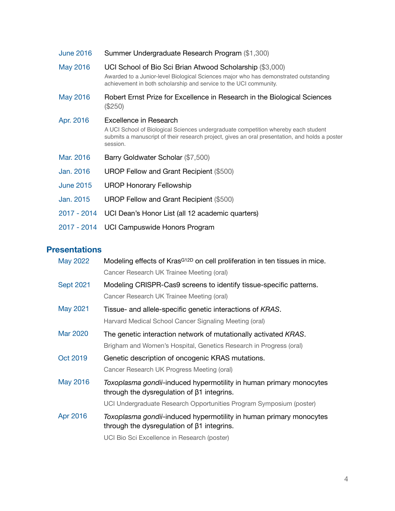| <b>June 2016</b> | Summer Undergraduate Research Program (\$1,300)                                                                                                                                                                            |
|------------------|----------------------------------------------------------------------------------------------------------------------------------------------------------------------------------------------------------------------------|
| May 2016         | UCI School of Bio Sci Brian Atwood Scholarship (\$3,000)<br>Awarded to a Junior-level Biological Sciences major who has demonstrated outstanding<br>achievement in both scholarship and service to the UCI community.      |
| May 2016         | Robert Ernst Prize for Excellence in Research in the Biological Sciences<br>$(\$250)$                                                                                                                                      |
| Apr. 2016        | Excellence in Research<br>A UCI School of Biological Sciences undergraduate competition whereby each student<br>submits a manuscript of their research project, gives an oral presentation, and holds a poster<br>session. |
| Mar. 2016        | Barry Goldwater Scholar (\$7,500)                                                                                                                                                                                          |
| Jan. 2016        | UROP Fellow and Grant Recipient (\$500)                                                                                                                                                                                    |
| <b>June 2015</b> | <b>UROP Honorary Fellowship</b>                                                                                                                                                                                            |
| Jan. 2015        | UROP Fellow and Grant Recipient (\$500)                                                                                                                                                                                    |
| 2017 - 2014      | UCI Dean's Honor List (all 12 academic quarters)                                                                                                                                                                           |
| 2017 - 2014      | UCI Campuswide Honors Program                                                                                                                                                                                              |

## **Presentations**

| May 2022         | Modeling effects of Kras <sup>G12D</sup> on cell proliferation in ten tissues in mice.                                  |
|------------------|-------------------------------------------------------------------------------------------------------------------------|
|                  | Cancer Research UK Trainee Meeting (oral)                                                                               |
| <b>Sept 2021</b> | Modeling CRISPR-Cas9 screens to identify tissue-specific patterns.                                                      |
|                  | Cancer Research UK Trainee Meeting (oral)                                                                               |
| May 2021         | Tissue- and allele-specific genetic interactions of KRAS.                                                               |
|                  | Harvard Medical School Cancer Signaling Meeting (oral)                                                                  |
| Mar 2020         | The genetic interaction network of mutationally activated KRAS.                                                         |
|                  | Brigham and Women's Hospital, Genetics Research in Progress (oral)                                                      |
| Oct 2019         | Genetic description of oncogenic KRAS mutations.                                                                        |
|                  | Cancer Research UK Progress Meeting (oral)                                                                              |
| May 2016         | Toxoplasma gondii-induced hypermotility in human primary monocytes<br>through the dysregulation of $\beta$ 1 integrins. |
|                  | UCI Undergraduate Research Opportunities Program Symposium (poster)                                                     |
| Apr 2016         | Toxoplasma gondii-induced hypermotility in human primary monocytes<br>through the dysregulation of $\beta$ 1 integrins. |
|                  | UCI Bio Sci Excellence in Research (poster)                                                                             |